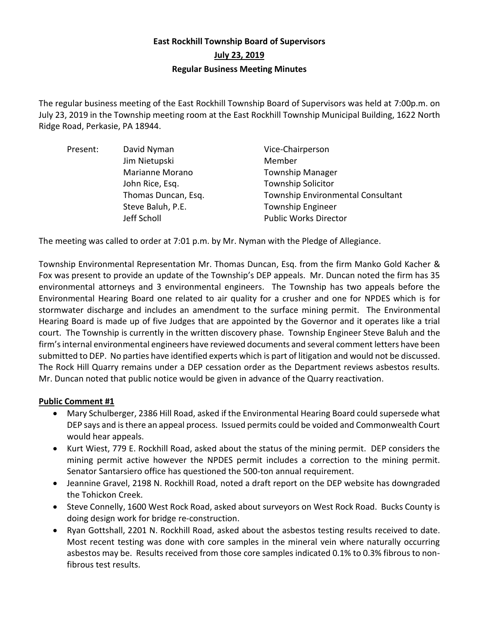# **East Rockhill Township Board of Supervisors July 23, 2019 Regular Business Meeting Minutes**

The regular business meeting of the East Rockhill Township Board of Supervisors was held at 7:00p.m. on July 23, 2019 in the Township meeting room at the East Rockhill Township Municipal Building, 1622 North Ridge Road, Perkasie, PA 18944.

| Present: | David Nyman         | Vice-Chairperson                  |
|----------|---------------------|-----------------------------------|
|          | Jim Nietupski       | Member                            |
|          | Marianne Morano     | <b>Township Manager</b>           |
|          | John Rice, Esq.     | <b>Township Solicitor</b>         |
|          | Thomas Duncan, Esq. | Township Environmental Consultant |
|          | Steve Baluh, P.E.   | <b>Township Engineer</b>          |
|          | Jeff Scholl         | <b>Public Works Director</b>      |

The meeting was called to order at 7:01 p.m. by Mr. Nyman with the Pledge of Allegiance.

Township Environmental Representation Mr. Thomas Duncan, Esq. from the firm Manko Gold Kacher & Fox was present to provide an update of the Township's DEP appeals. Mr. Duncan noted the firm has 35 environmental attorneys and 3 environmental engineers. The Township has two appeals before the Environmental Hearing Board one related to air quality for a crusher and one for NPDES which is for stormwater discharge and includes an amendment to the surface mining permit. The Environmental Hearing Board is made up of five Judges that are appointed by the Governor and it operates like a trial court. The Township is currently in the written discovery phase. Township Engineer Steve Baluh and the firm's internal environmental engineers have reviewed documents and several comment letters have been submitted to DEP. No parties have identified experts which is part of litigation and would not be discussed. The Rock Hill Quarry remains under a DEP cessation order as the Department reviews asbestos results. Mr. Duncan noted that public notice would be given in advance of the Quarry reactivation.

# **Public Comment #1**

- Mary Schulberger, 2386 Hill Road, asked if the Environmental Hearing Board could supersede what DEP says and is there an appeal process. Issued permits could be voided and Commonwealth Court would hear appeals.
- Kurt Wiest, 779 E. Rockhill Road, asked about the status of the mining permit. DEP considers the mining permit active however the NPDES permit includes a correction to the mining permit. Senator Santarsiero office has questioned the 500-ton annual requirement.
- Jeannine Gravel, 2198 N. Rockhill Road, noted a draft report on the DEP website has downgraded the Tohickon Creek.
- Steve Connelly, 1600 West Rock Road, asked about surveyors on West Rock Road. Bucks County is doing design work for bridge re-construction.
- Ryan Gottshall, 2201 N. Rockhill Road, asked about the asbestos testing results received to date. Most recent testing was done with core samples in the mineral vein where naturally occurring asbestos may be. Results received from those core samples indicated 0.1% to 0.3% fibrous to nonfibrous test results.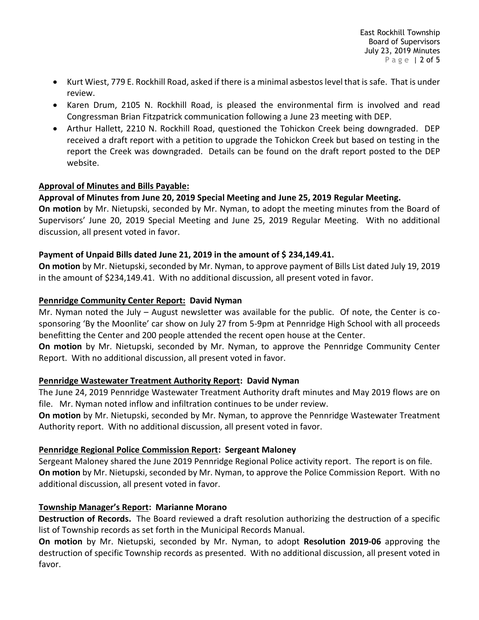- Kurt Wiest, 779 E. Rockhill Road, asked if there is a minimal asbestos level that is safe. That is under review.
- Karen Drum, 2105 N. Rockhill Road, is pleased the environmental firm is involved and read Congressman Brian Fitzpatrick communication following a June 23 meeting with DEP.
- Arthur Hallett, 2210 N. Rockhill Road, questioned the Tohickon Creek being downgraded. DEP received a draft report with a petition to upgrade the Tohickon Creek but based on testing in the report the Creek was downgraded. Details can be found on the draft report posted to the DEP website.

### **Approval of Minutes and Bills Payable:**

# **Approval of Minutes from June 20, 2019 Special Meeting and June 25, 2019 Regular Meeting.**

**On motion** by Mr. Nietupski, seconded by Mr. Nyman, to adopt the meeting minutes from the Board of Supervisors' June 20, 2019 Special Meeting and June 25, 2019 Regular Meeting. With no additional discussion, all present voted in favor.

### **Payment of Unpaid Bills dated June 21, 2019 in the amount of \$ 234,149.41.**

**On motion** by Mr. Nietupski, seconded by Mr. Nyman, to approve payment of Bills List dated July 19, 2019 in the amount of \$234,149.41. With no additional discussion, all present voted in favor.

### **Pennridge Community Center Report: David Nyman**

Mr. Nyman noted the July – August newsletter was available for the public. Of note, the Center is cosponsoring 'By the Moonlite' car show on July 27 from 5-9pm at Pennridge High School with all proceeds benefitting the Center and 200 people attended the recent open house at the Center.

**On motion** by Mr. Nietupski, seconded by Mr. Nyman, to approve the Pennridge Community Center Report. With no additional discussion, all present voted in favor.

# **Pennridge Wastewater Treatment Authority Report: David Nyman**

The June 24, 2019 Pennridge Wastewater Treatment Authority draft minutes and May 2019 flows are on file. Mr. Nyman noted inflow and infiltration continues to be under review.

**On motion** by Mr. Nietupski, seconded by Mr. Nyman, to approve the Pennridge Wastewater Treatment Authority report. With no additional discussion, all present voted in favor.

#### **Pennridge Regional Police Commission Report: Sergeant Maloney**

Sergeant Maloney shared the June 2019 Pennridge Regional Police activity report. The report is on file. **On motion** by Mr. Nietupski, seconded by Mr. Nyman, to approve the Police Commission Report. With no additional discussion, all present voted in favor.

# **Township Manager's Report: Marianne Morano**

**Destruction of Records.** The Board reviewed a draft resolution authorizing the destruction of a specific list of Township records as set forth in the Municipal Records Manual.

**On motion** by Mr. Nietupski, seconded by Mr. Nyman, to adopt **Resolution 2019-06** approving the destruction of specific Township records as presented. With no additional discussion, all present voted in favor.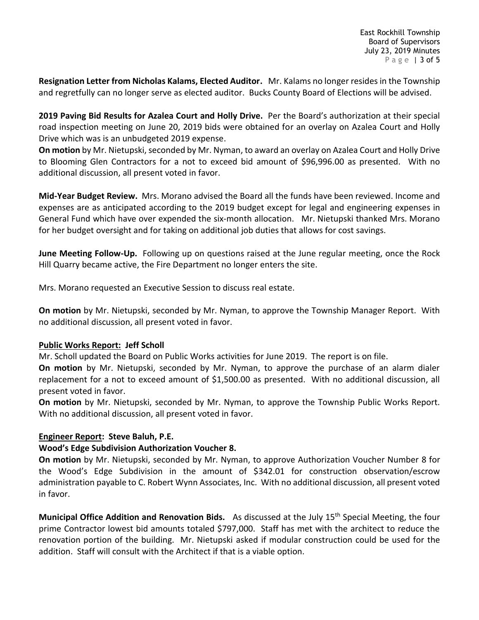**Resignation Letter from Nicholas Kalams, Elected Auditor.** Mr. Kalams no longer resides in the Township and regretfully can no longer serve as elected auditor. Bucks County Board of Elections will be advised.

**2019 Paving Bid Results for Azalea Court and Holly Drive.** Per the Board's authorization at their special road inspection meeting on June 20, 2019 bids were obtained for an overlay on Azalea Court and Holly Drive which was is an unbudgeted 2019 expense.

**On motion** by Mr. Nietupski, seconded by Mr. Nyman, to award an overlay on Azalea Court and Holly Drive to Blooming Glen Contractors for a not to exceed bid amount of \$96,996.00 as presented. With no additional discussion, all present voted in favor.

**Mid-Year Budget Review.** Mrs. Morano advised the Board all the funds have been reviewed. Income and expenses are as anticipated according to the 2019 budget except for legal and engineering expenses in General Fund which have over expended the six-month allocation. Mr. Nietupski thanked Mrs. Morano for her budget oversight and for taking on additional job duties that allows for cost savings.

**June Meeting Follow-Up.** Following up on questions raised at the June regular meeting, once the Rock Hill Quarry became active, the Fire Department no longer enters the site.

Mrs. Morano requested an Executive Session to discuss real estate.

**On motion** by Mr. Nietupski, seconded by Mr. Nyman, to approve the Township Manager Report. With no additional discussion, all present voted in favor.

# **Public Works Report: Jeff Scholl**

Mr. Scholl updated the Board on Public Works activities for June 2019. The report is on file.

**On motion** by Mr. Nietupski, seconded by Mr. Nyman, to approve the purchase of an alarm dialer replacement for a not to exceed amount of \$1,500.00 as presented. With no additional discussion, all present voted in favor.

**On motion** by Mr. Nietupski, seconded by Mr. Nyman, to approve the Township Public Works Report. With no additional discussion, all present voted in favor.

# **Engineer Report: Steve Baluh, P.E.**

#### **Wood's Edge Subdivision Authorization Voucher 8.**

**On motion** by Mr. Nietupski, seconded by Mr. Nyman, to approve Authorization Voucher Number 8 for the Wood's Edge Subdivision in the amount of \$342.01 for construction observation/escrow administration payable to C. Robert Wynn Associates, Inc. With no additional discussion, all present voted in favor.

**Municipal Office Addition and Renovation Bids.** As discussed at the July 15<sup>th</sup> Special Meeting, the four prime Contractor lowest bid amounts totaled \$797,000. Staff has met with the architect to reduce the renovation portion of the building. Mr. Nietupski asked if modular construction could be used for the addition. Staff will consult with the Architect if that is a viable option.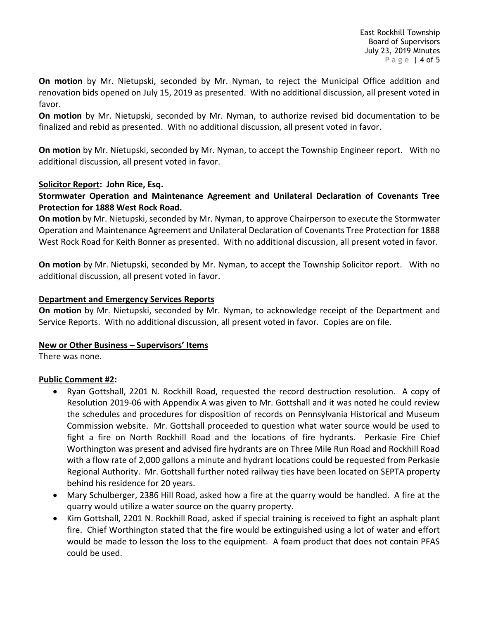**On motion** by Mr. Nietupski, seconded by Mr. Nyman, to reject the Municipal Office addition and renovation bids opened on July 15, 2019 as presented. With no additional discussion, all present voted in favor.

**On motion** by Mr. Nietupski, seconded by Mr. Nyman, to authorize revised bid documentation to be finalized and rebid as presented. With no additional discussion, all present voted in favor.

**On motion** by Mr. Nietupski, seconded by Mr. Nyman, to accept the Township Engineer report. With no additional discussion, all present voted in favor.

#### **Solicitor Report: John Rice, Esq.**

### **Stormwater Operation and Maintenance Agreement and Unilateral Declaration of Covenants Tree Protection for 1888 West Rock Road.**

**On motion** by Mr. Nietupski, seconded by Mr. Nyman, to approve Chairperson to execute the Stormwater Operation and Maintenance Agreement and Unilateral Declaration of Covenants Tree Protection for 1888 West Rock Road for Keith Bonner as presented. With no additional discussion, all present voted in favor.

**On motion** by Mr. Nietupski, seconded by Mr. Nyman, to accept the Township Solicitor report. With no additional discussion, all present voted in favor.

#### **Department and Emergency Services Reports**

**On motion** by Mr. Nietupski, seconded by Mr. Nyman, to acknowledge receipt of the Department and Service Reports. With no additional discussion, all present voted in favor. Copies are on file.

#### **New or Other Business – Supervisors' Items**

There was none.

#### **Public Comment #2:**

- Ryan Gottshall, 2201 N. Rockhill Road, requested the record destruction resolution. A copy of Resolution 2019-06 with Appendix A was given to Mr. Gottshall and it was noted he could review the schedules and procedures for disposition of records on Pennsylvania Historical and Museum Commission website. Mr. Gottshall proceeded to question what water source would be used to fight a fire on North Rockhill Road and the locations of fire hydrants. Perkasie Fire Chief Worthington was present and advised fire hydrants are on Three Mile Run Road and Rockhill Road with a flow rate of 2,000 gallons a minute and hydrant locations could be requested from Perkasie Regional Authority. Mr. Gottshall further noted railway ties have been located on SEPTA property behind his residence for 20 years.
- Mary Schulberger, 2386 Hill Road, asked how a fire at the quarry would be handled. A fire at the quarry would utilize a water source on the quarry property.
- Kim Gottshall, 2201 N. Rockhill Road, asked if special training is received to fight an asphalt plant fire. Chief Worthington stated that the fire would be extinguished using a lot of water and effort would be made to lesson the loss to the equipment. A foam product that does not contain PFAS could be used.